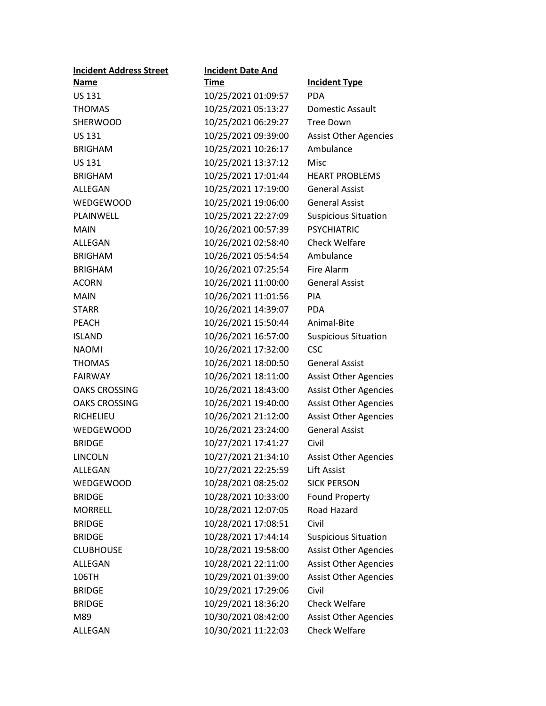| <b>Incident Address Street</b> | <b>Incident Date And</b> |                              |
|--------------------------------|--------------------------|------------------------------|
| Name                           | <b>Time</b>              | <b>Incident Type</b>         |
| <b>US 131</b>                  | 10/25/2021 01:09:57      | <b>PDA</b>                   |
| <b>THOMAS</b>                  | 10/25/2021 05:13:27      | Domestic Assault             |
| <b>SHERWOOD</b>                | 10/25/2021 06:29:27      | <b>Tree Down</b>             |
| <b>US 131</b>                  | 10/25/2021 09:39:00      | <b>Assist Other Agencies</b> |
| <b>BRIGHAM</b>                 | 10/25/2021 10:26:17      | Ambulance                    |
| <b>US 131</b>                  | 10/25/2021 13:37:12      | Misc                         |
| <b>BRIGHAM</b>                 | 10/25/2021 17:01:44      | <b>HEART PROBLEMS</b>        |
| ALLEGAN                        | 10/25/2021 17:19:00      | <b>General Assist</b>        |
| WEDGEWOOD                      | 10/25/2021 19:06:00      | <b>General Assist</b>        |
| PLAINWELL                      | 10/25/2021 22:27:09      | <b>Suspicious Situation</b>  |
| <b>MAIN</b>                    | 10/26/2021 00:57:39      | <b>PSYCHIATRIC</b>           |
| ALLEGAN                        | 10/26/2021 02:58:40      | <b>Check Welfare</b>         |
| <b>BRIGHAM</b>                 | 10/26/2021 05:54:54      | Ambulance                    |
| <b>BRIGHAM</b>                 | 10/26/2021 07:25:54      | Fire Alarm                   |
| <b>ACORN</b>                   | 10/26/2021 11:00:00      | <b>General Assist</b>        |
| MAIN                           | 10/26/2021 11:01:56      | <b>PIA</b>                   |
| <b>STARR</b>                   | 10/26/2021 14:39:07      | <b>PDA</b>                   |
| <b>PEACH</b>                   | 10/26/2021 15:50:44      | Animal-Bite                  |
| <b>ISLAND</b>                  | 10/26/2021 16:57:00      | <b>Suspicious Situation</b>  |
| <b>NAOMI</b>                   | 10/26/2021 17:32:00      | <b>CSC</b>                   |
| <b>THOMAS</b>                  | 10/26/2021 18:00:50      | <b>General Assist</b>        |
| <b>FAIRWAY</b>                 | 10/26/2021 18:11:00      | <b>Assist Other Agencies</b> |
| <b>OAKS CROSSING</b>           | 10/26/2021 18:43:00      | <b>Assist Other Agencies</b> |
| <b>OAKS CROSSING</b>           | 10/26/2021 19:40:00      | <b>Assist Other Agencies</b> |
| RICHELIEU                      | 10/26/2021 21:12:00      | <b>Assist Other Agencies</b> |
| WEDGEWOOD                      | 10/26/2021 23:24:00      | <b>General Assist</b>        |
| <b>BRIDGE</b>                  | 10/27/2021 17:41:27      | Civil                        |
| <b>LINCOLN</b>                 | 10/27/2021 21:34:10      | <b>Assist Other Agencies</b> |
| <b>ALLEGAN</b>                 | 10/27/2021 22:25:59      | <b>Lift Assist</b>           |
| WEDGEWOOD                      | 10/28/2021 08:25:02      | <b>SICK PERSON</b>           |
| <b>BRIDGE</b>                  | 10/28/2021 10:33:00      | Found Property               |
| <b>MORRELL</b>                 | 10/28/2021 12:07:05      | Road Hazard                  |
| <b>BRIDGE</b>                  | 10/28/2021 17:08:51      | Civil                        |
| <b>BRIDGE</b>                  | 10/28/2021 17:44:14      | <b>Suspicious Situation</b>  |
| <b>CLUBHOUSE</b>               | 10/28/2021 19:58:00      | <b>Assist Other Agencies</b> |
| ALLEGAN                        | 10/28/2021 22:11:00      | <b>Assist Other Agencies</b> |
| 106TH                          | 10/29/2021 01:39:00      | <b>Assist Other Agencies</b> |
| <b>BRIDGE</b>                  | 10/29/2021 17:29:06      | Civil                        |
| <b>BRIDGE</b>                  | 10/29/2021 18:36:20      | <b>Check Welfare</b>         |
| M89                            | 10/30/2021 08:42:00      | <b>Assist Other Agencies</b> |
| ALLEGAN                        | 10/30/2021 11:22:03      | <b>Check Welfare</b>         |